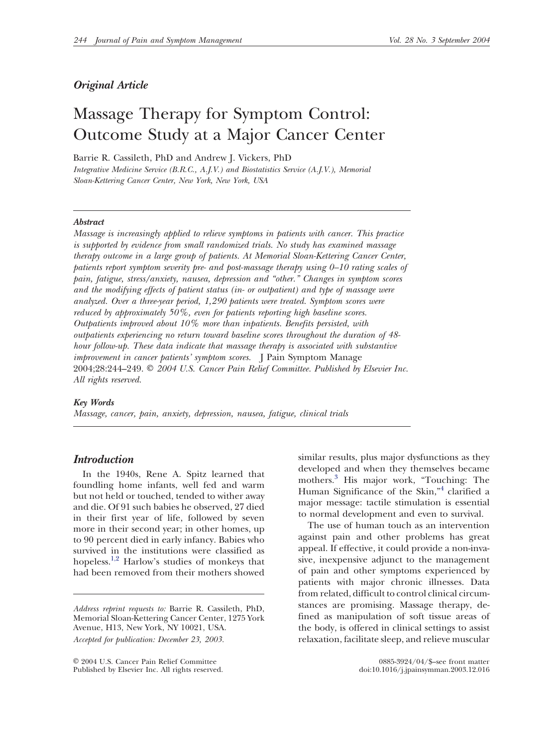#### *Original Article*

# Massage Therapy for Symptom Control: Outcome Study at a Major Cancer Center

Barrie R. Cassileth, PhD and Andrew J. Vickers, PhD *Integrative Medicine Service (B.R.C., A.J.V.) and Biostatistics Service (A.J.V.), Memorial Sloan-Kettering Cancer Center, New York, New York, USA*

#### *Abstract*

*Massage is increasingly applied to relieve symptoms in patients with cancer. This practice is supported by evidence from small randomized trials. No study has examined massage therapy outcome in a large group of patients. At Memorial Sloan-Kettering Cancer Center, patients report symptom severity pre- and post-massage therapy using 0–10 rating scales of pain, fatigue, stress/anxiety, nausea, depression and "other." Changes in symptom scores and the modifying effects of patient status (in- or outpatient) and type of massage were analyzed. Over a three-year period, 1,290 patients were treated. Symptom scores were reduced by approximately 50%, even for patients reporting high baseline scores. Outpatients improved about 10% more than inpatients. Benefits persisted, with outpatients experiencing no return toward baseline scores throughout the duration of 48 hour follow-up. These data indicate that massage therapy is associated with substantive improvement in cancer patients' symptom scores.* J Pain Symptom Manage 2004;28:244–249. ! *2004 U.S. Cancer Pain Relief Committee. Published by Elsevier Inc. All rights reserved.*

#### *Key Words*

*Massage, cancer, pain, anxiety, depression, nausea, fatigue, clinical trials*

#### *Introduction*

In the 1940s, Rene A. Spitz learned that foundling home infants, well fed and warm but not held or touched, tended to wither away and die. Of 91 such babies he observed, 27 died in their first year of life, followed by seven more in their second year; in other homes, up to 90 percent died in early infancy. Babies who survived in the institutions were classified as hopeless.<sup>1,2</sup> Harlow's studies of monkeys that had been removed from their mothers showed

! 2004 U.S. Cancer Pain Relief Committee 0885-3924/04/\$–see front matter Published by Elsevier Inc. All rights reserved.

similar results, plus major dysfunctions as they developed and when they themselves became mothers.<sup>3</sup> His major work, "Touching: The Human Significance of the Skin,"<sup>4</sup> clarified a major message: tactile stimulation is essential to normal development and even to survival.

The use of human touch as an intervention against pain and other problems has great appeal. If effective, it could provide a non-invasive, inexpensive adjunct to the management of pain and other symptoms experienced by patients with major chronic illnesses. Data from related, difficult to control clinical circumstances are promising. Massage therapy, defined as manipulation of soft tissue areas of the body, is offered in clinical settings to assist relaxation, facilitate sleep, and relieve muscular

*Address reprint requests to:* Barrie R. Cassileth, PhD, Memorial Sloan-Kettering Cancer Center, 1275 York Avenue, H13, New York, NY 10021, USA. *Accepted for publication: December 23, 2003.*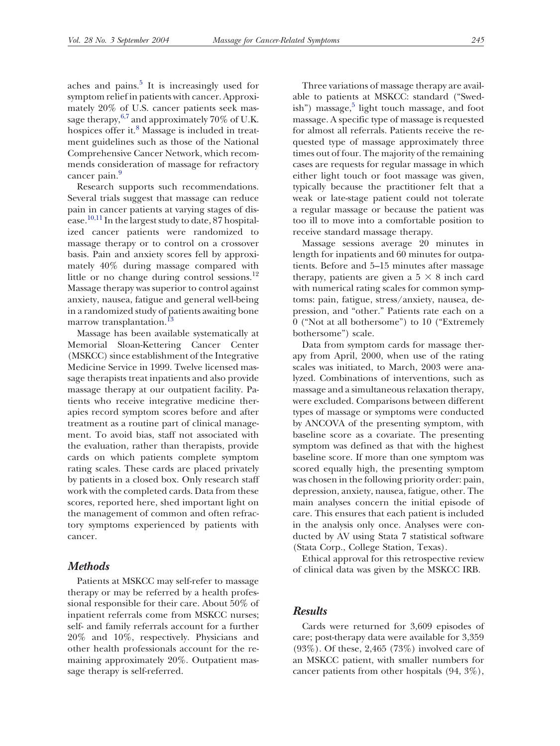aches and pains. $5$  It is increasingly used for symptom relief in patients with cancer. Approximately 20% of U.S. cancer patients seek massage therapy,  $6.7$  and approximately 70% of U.K. hospices offer it.<sup>8</sup> Massage is included in treatment guidelines such as those of the National Comprehensive Cancer Network, which recommends consideration of massage for refractory cancer pain.<sup>9</sup>

Research supports such recommendations. Several trials suggest that massage can reduce pain in cancer patients at varying stages of disease.10,11 In the largest study to date, 87 hospitalized cancer patients were randomized to massage therapy or to control on a crossover basis. Pain and anxiety scores fell by approximately 40% during massage compared with little or no change during control sessions.<sup>12</sup> Massage therapy was superior to control against anxiety, nausea, fatigue and general well-being in a randomized study of patients awaiting bone marrow transplantation.<sup>13</sup>

Massage has been available systematically at Memorial Sloan-Kettering Cancer Center (MSKCC) since establishment of the Integrative Medicine Service in 1999. Twelve licensed massage therapists treat inpatients and also provide massage therapy at our outpatient facility. Patients who receive integrative medicine therapies record symptom scores before and after treatment as a routine part of clinical management. To avoid bias, staff not associated with the evaluation, rather than therapists, provide cards on which patients complete symptom rating scales. These cards are placed privately by patients in a closed box. Only research staff work with the completed cards. Data from these scores, reported here, shed important light on the management of common and often refractory symptoms experienced by patients with cancer.

## *Methods*

Patients at MSKCC may self-refer to massage therapy or may be referred by a health professional responsible for their care. About 50% of inpatient referrals come from MSKCC nurses; self- and family referrals account for a further 20% and 10%, respectively. Physicians and other health professionals account for the remaining approximately 20%. Outpatient massage therapy is self-referred.

Three variations of massage therapy are available to patients at MSKCC: standard ("Swedish") massage,<sup>5</sup> light touch massage, and foot massage. A specific type of massage is requested for almost all referrals. Patients receive the requested type of massage approximately three times out of four. The majority of the remaining cases are requests for regular massage in which either light touch or foot massage was given, typically because the practitioner felt that a weak or late-stage patient could not tolerate a regular massage or because the patient was too ill to move into a comfortable position to receive standard massage therapy.

Massage sessions average 20 minutes in length for inpatients and 60 minutes for outpatients. Before and 5–15 minutes after massage therapy, patients are given a  $5 \times 8$  inch card with numerical rating scales for common symptoms: pain, fatigue, stress/anxiety, nausea, depression, and "other." Patients rate each on a 0 ("Not at all bothersome") to 10 ("Extremely bothersome") scale.

Data from symptom cards for massage therapy from April, 2000, when use of the rating scales was initiated, to March, 2003 were analyzed. Combinations of interventions, such as massage and a simultaneous relaxation therapy, were excluded. Comparisons between different types of massage or symptoms were conducted by ANCOVA of the presenting symptom, with baseline score as a covariate. The presenting symptom was defined as that with the highest baseline score. If more than one symptom was scored equally high, the presenting symptom was chosen in the following priority order: pain, depression, anxiety, nausea, fatigue, other. The main analyses concern the initial episode of care. This ensures that each patient is included in the analysis only once. Analyses were conducted by AV using Stata 7 statistical software (Stata Corp., College Station, Texas).

Ethical approval for this retrospective review of clinical data was given by the MSKCC IRB.

## *Results*

Cards were returned for 3,609 episodes of care; post-therapy data were available for 3,359 (93%). Of these, 2,465 (73%) involved care of an MSKCC patient, with smaller numbers for cancer patients from other hospitals (94, 3%),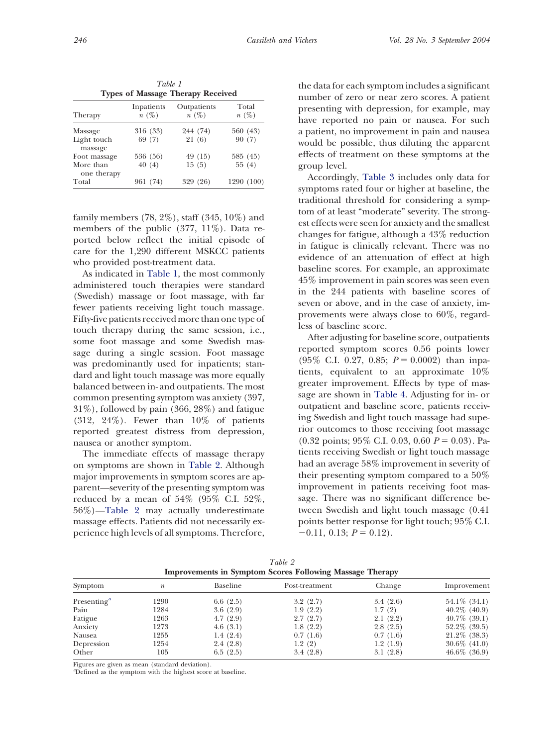| I |
|---|
| ٧ |

|                          |                       | Types of Massage Therapy Received |                  |
|--------------------------|-----------------------|-----------------------------------|------------------|
| Therapy                  | Inpatients<br>$n(\%)$ | Outpatients<br>n(%)               | Total<br>$n(\%)$ |
| Massage                  | 316 (33)              | 244 (74)                          | 560 (43)         |
| Light touch<br>massage   | 69(7)                 | 21(6)                             | 90(7)            |
| Foot massage             | 536 (56)              | 49 (15)                           | 585 (45)         |
| More than<br>one therapy | 40(4)                 | 15(5)                             | 55(4)            |
| Total                    | 961 (74)              | 329 (26)                          | 1290 (100)       |

*Table 1* **Types of Massage Therapy Received**

family members (78, 2%), staff (345, 10%) and members of the public (377, 11%). Data reported below reflect the initial episode of care for the 1,290 different MSKCC patients who provided post-treatment data.

As indicated in Table 1, the most commonly administered touch therapies were standard (Swedish) massage or foot massage, with far fewer patients receiving light touch massage. Fifty-five patients receivedmore than one type of touch therapy during the same session, i.e., some foot massage and some Swedish massage during a single session. Foot massage was predominantly used for inpatients; standard and light touch massage was more equally balanced between in- and outpatients. The most common presenting symptom was anxiety (397, 31%), followed by pain (366, 28%) and fatigue (312, 24%). Fewer than 10% of patients reported greatest distress from depression, nausea or another symptom.

The immediate effects of massage therapy on symptoms are shown in Table 2. Although major improvements in symptom scores are apparent—severity of the presenting symptom was reduced by a mean of  $54\%$  (95% C.I. 52%, 56%)—Table 2 may actually underestimate massage effects. Patients did not necessarily experience high levels of all symptoms. Therefore,

the data for each symptom includes a significant number of zero or near zero scores. A patient presenting with depression, for example, may have reported no pain or nausea. For such a patient, no improvement in pain and nausea would be possible, thus diluting the apparent effects of treatment on these symptoms at the group level.

Accordingly, Table 3 includes only data for symptoms rated four or higher at baseline, the traditional threshold for considering a symptom of at least "moderate" severity. The strongest effects were seen for anxiety and the smallest changes for fatigue, although a 43% reduction in fatigue is clinically relevant. There was no evidence of an attenuation of effect at high baseline scores. For example, an approximate 45% improvement in pain scores was seen even in the 244 patients with baseline scores of seven or above, and in the case of anxiety, improvements were always close to 60%, regardless of baseline score.

After adjusting for baseline score, outpatients reported symptom scores 0.56 points lower  $(95\% \text{ C.I. } 0.27, 0.85; P = 0.0002)$  than inpatients, equivalent to an approximate 10% greater improvement. Effects by type of massage are shown in Table 4. Adjusting for in- or outpatient and baseline score, patients receiving Swedish and light touch massage had superior outcomes to those receiving foot massage  $(0.32 \text{ points}; 95\% \text{ C.I. } 0.03, 0.60 \text{ } P = 0.03)$ . Patients receiving Swedish or light touch massage had an average 58% improvement in severity of their presenting symptom compared to a 50% improvement in patients receiving foot massage. There was no significant difference between Swedish and light touch massage (0.41 points better response for light touch; 95% C.I.  $-0.11, 0.13; P = 0.12$ .

| <b>Improvements in Symptom Scores Following Massage Therapy</b> |                  |          |                |          |                 |
|-----------------------------------------------------------------|------------------|----------|----------------|----------|-----------------|
| Symptom                                                         | $\boldsymbol{n}$ | Baseline | Post-treatment | Change   | Improvement     |
| Presenting <sup><math>a</math></sup>                            | 1290             | 6.6(2.5) | 3.2(2.7)       | 3.4(2.6) | $54.1\%$ (34.1) |
| Pain                                                            | 1284             | 3.6(2.9) | 1.9(2.2)       | 1.7(2)   | $40.2\%$ (40.9) |
| Fatigue                                                         | 1263             | 4.7(2.9) | 2.7(2.7)       | 2.1(2.2) | $40.7\%$ (39.1) |
| Anxiety                                                         | 1273             | 4.6(3.1) | 1.8(2.2)       | 2.8(2.5) | $52.2\%$ (39.5) |
| Nausea                                                          | 1255             | 1.4(2.4) | 0.7(1.6)       | 0.7(1.6) | $21.2\%$ (38.3) |
| Depression                                                      | 1254             | 2.4(2.8) | 1.2(2)         | 1.2(1.9) | $30.6\%$ (41.0) |
| Other                                                           | 105              | 6.5(2.5) | 3.4(2.8)       | 3.1(2.8) | $46.6\%$ (36.9) |

*Table 2*

Figures are given as mean (standard deviation).

*a* Defined as the symptom with the highest score at baseline.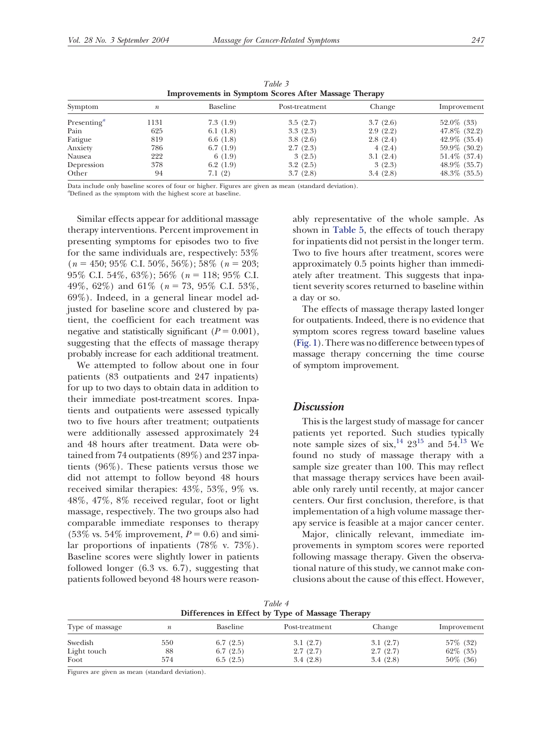| <b>Improvements in Symptom Scores After Massage Therapy</b> |                  |          |                |          |                   |
|-------------------------------------------------------------|------------------|----------|----------------|----------|-------------------|
| Symptom                                                     | $\boldsymbol{n}$ | Baseline | Post-treatment | Change   | Improvement       |
| Presenting <sup><math>a</math></sup>                        | 1131             | 7.3(1.9) | 3.5(2.7)       | 3.7(2.6) | $52.0\%$ (33)     |
| Pain                                                        | 625              | 6.1(1.8) | 3.3(2.3)       | 2.9(2.2) | 47.8\% (32.2)     |
| Fatigue                                                     | 819              | 6.6(1.8) | 3.8(2.6)       | 2.8(2.4) | $42.9\%$ $(35.4)$ |
| Anxiety                                                     | 786              | 6.7(1.9) | 2.7(2.3)       | 4(2.4)   | $59.9\%$ (30.2)   |
| Nausea                                                      | 222              | 6(1.9)   | 3(2.5)         | 3.1(2.4) | $51.4\%$ (37.4)   |
| Depression                                                  | 378              | 6.2(1.9) | 3.2(2.5)       | 3(2.3)   | $48.9\%$ (35.7)   |
| Other                                                       | 94               | 7.1(2)   | 3.7(2.8)       | 3.4(2.8) | $48.3\%$ (35.5)   |

*Table 3*

Data include only baseline scores of four or higher. Figures are given as mean (standard deviation).

*a* Defined as the symptom with the highest score at baseline.

Similar effects appear for additional massage therapy interventions. Percent improvement in presenting symptoms for episodes two to five for the same individuals are, respectively: 53% (*n* = 450; 95% C.I. 50%, 56%); 58% (*n* = 203; 95% C.I. 54%, 63%); 56% (*n* = 118; 95% C.I. 49%, 62%) and 61% (*n* = 73, 95% C.I. 53%, 69%). Indeed, in a general linear model adjusted for baseline score and clustered by patient, the coefficient for each treatment was negative and statistically significant  $(P = 0.001)$ , suggesting that the effects of massage therapy probably increase for each additional treatment.

We attempted to follow about one in four patients (83 outpatients and 247 inpatients) for up to two days to obtain data in addition to their immediate post-treatment scores. Inpatients and outpatients were assessed typically two to five hours after treatment; outpatients were additionally assessed approximately 24 and 48 hours after treatment. Data were obtained from 74 outpatients (89%) and 237 inpatients (96%). These patients versus those we did not attempt to follow beyond 48 hours received similar therapies: 43%, 53%, 9% vs. 48%, 47%, 8% received regular, foot or light massage, respectively. The two groups also had comparable immediate responses to therapy  $(53\% \text{ vs. } 54\% \text{ improvement}, P = 0.6)$  and similar proportions of inpatients (78% v. 73%). Baseline scores were slightly lower in patients followed longer (6.3 vs. 6.7), suggesting that patients followed beyond 48 hours were reasonably representative of the whole sample. As shown in Table 5, the effects of touch therapy for inpatients did not persist in the longer term. Two to five hours after treatment, scores were approximately 0.5 points higher than immediately after treatment. This suggests that inpatient severity scores returned to baseline within a day or so.

The effects of massage therapy lasted longer for outpatients. Indeed, there is no evidence that symptom scores regress toward baseline values (Fig. 1). There was no difference between types of massage therapy concerning the time course of symptom improvement.

# *Discussion*

This is the largest study of massage for cancer patients yet reported. Such studies typically note sample sizes of six,<sup>14</sup>  $23^{15}$  and  $54$ ,<sup>13</sup> We found no study of massage therapy with a sample size greater than 100. This may reflect that massage therapy services have been available only rarely until recently, at major cancer centers. Our first conclusion, therefore, is that implementation of a high volume massage therapy service is feasible at a major cancer center.

Major, clinically relevant, immediate improvements in symptom scores were reported following massage therapy. Given the observational nature of this study, we cannot make conclusions about the cause of this effect. However,

*Table 4* **Differences in Effect by Type of Massage Therapy**

| Type of massage | п   | Baseline | Post-treatment | Change   | Improvement |
|-----------------|-----|----------|----------------|----------|-------------|
| Swedish         | 550 | 6.7(2.5) | 3.1(2.7)       | 3.1(2.7) | 57\% (32)   |
| Light touch     | 88  | 6.7(2.5) | 2.7(2.7)       | 2.7(2.7) | $62\%$ (35) |
| Foot            | 574 | 6.5(2.5) | 3.4(2.8)       | 3.4(2.8) | $50\%$ (36) |

Figures are given as mean (standard deviation).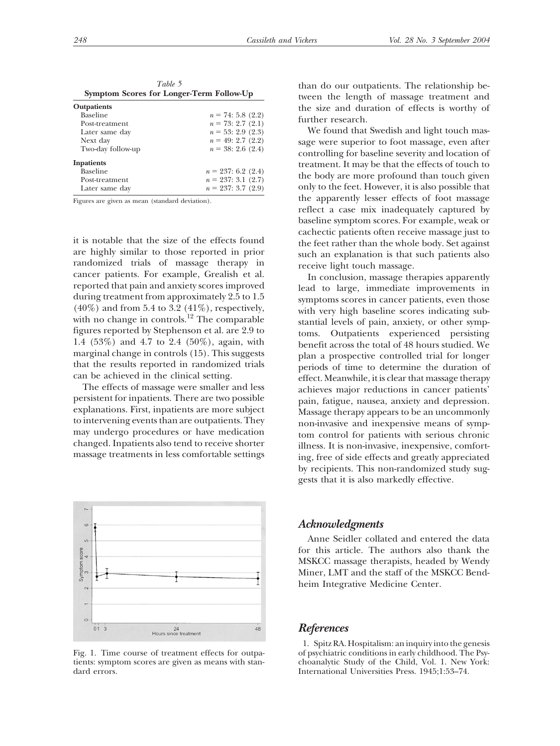| Symptom Scores for Longer-Term Follow-Up |                     |  |  |
|------------------------------------------|---------------------|--|--|
| <b>Outpatients</b>                       |                     |  |  |
| Baseline                                 | $n = 74: 5.8(2.2)$  |  |  |
| Post-treatment                           | $n = 73: 2.7(2.1)$  |  |  |
| Later same day                           | $n = 53: 2.9(2.3)$  |  |  |
| Next day                                 | $n = 49: 2.7(2.2)$  |  |  |
| Two-day follow-up                        | $n = 38: 2.6(2.4)$  |  |  |
| <b>Inpatients</b>                        |                     |  |  |
| Baseline                                 | $n = 237: 6.2(2.4)$ |  |  |
| Post-treatment                           | $n = 237: 3.1(2.7)$ |  |  |
| Later same day                           | $n = 237: 3.7(2.9)$ |  |  |

*Table 5*

Figures are given as mean (standard deviation).

it is notable that the size of the effects found are highly similar to those reported in prior randomized trials of massage therapy in cancer patients. For example, Grealish et al. reported that pain and anxiety scores improved during treatment from approximately 2.5 to 1.5  $(40\%)$  and from 5.4 to 3.2  $(41\%)$ , respectively, with no change in controls.<sup>12</sup> The comparable figures reported by Stephenson et al. are 2.9 to 1.4 (53%) and 4.7 to 2.4 (50%), again, with marginal change in controls (15). This suggests that the results reported in randomized trials can be achieved in the clinical setting.

The effects of massage were smaller and less persistent for inpatients. There are two possible explanations. First, inpatients are more subject to intervening events than are outpatients. They may undergo procedures or have medication changed. Inpatients also tend to receive shorter massage treatments in less comfortable settings



Fig. 1. Time course of treatment effects for outpatients: symptom scores are given as means with standard errors.

than do our outpatients. The relationship between the length of massage treatment and the size and duration of effects is worthy of further research.

We found that Swedish and light touch massage were superior to foot massage, even after controlling for baseline severity and location of treatment. It may be that the effects of touch to the body are more profound than touch given only to the feet. However, it is also possible that the apparently lesser effects of foot massage reflect a case mix inadequately captured by baseline symptom scores. For example, weak or cachectic patients often receive massage just to the feet rather than the whole body. Set against such an explanation is that such patients also receive light touch massage.

In conclusion, massage therapies apparently lead to large, immediate improvements in symptoms scores in cancer patients, even those with very high baseline scores indicating substantial levels of pain, anxiety, or other symptoms. Outpatients experienced persisting benefit across the total of 48 hours studied. We plan a prospective controlled trial for longer periods of time to determine the duration of effect. Meanwhile, it is clear that massage therapy achieves major reductions in cancer patients' pain, fatigue, nausea, anxiety and depression. Massage therapy appears to be an uncommonly non-invasive and inexpensive means of symptom control for patients with serious chronic illness. It is non-invasive, inexpensive, comforting, free of side effects and greatly appreciated by recipients. This non-randomized study suggests that it is also markedly effective.

# *Acknowledgments*

Anne Seidler collated and entered the data for this article. The authors also thank the MSKCC massage therapists, headed by Wendy Miner, LMT and the staff of the MSKCC Bendheim Integrative Medicine Center.

#### *References*

1. Spitz RA. Hospitalism: an inquiry into the genesis of psychiatric conditions in early childhood. The Psychoanalytic Study of the Child, Vol. 1. New York: International Universities Press. 1945;1:53–74.